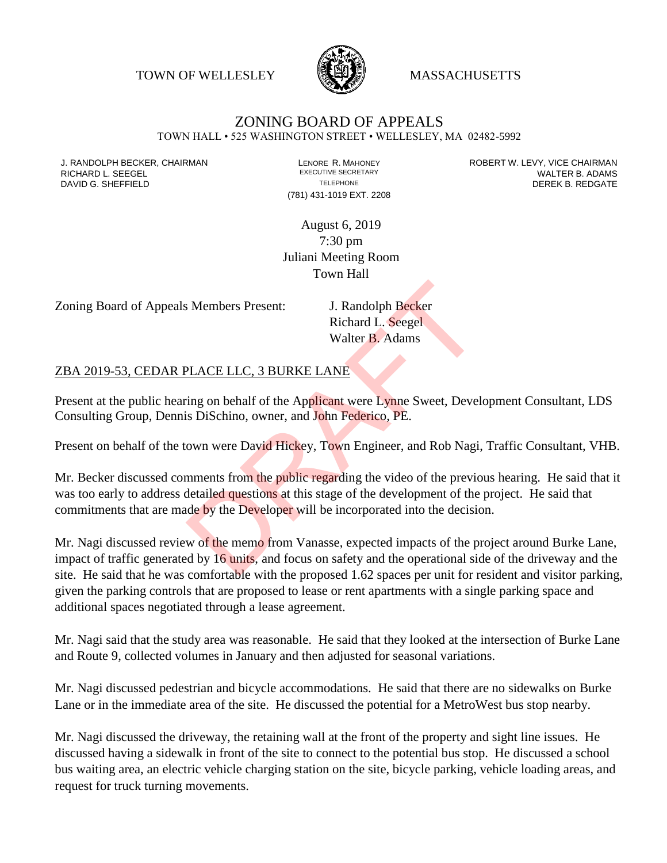TOWN OF WELLESLEY **WASSACHUSETTS** 



## ZONING BOARD OF APPEALS

TOWN HALL • 525 WASHINGTON STREET • WELLESLEY, MA 02482-5992

(781) 431-1019 EXT. 2208

J. RANDOLPH BECKER, CHAIRMAN LAND LENORE R. MAHONEY LEWING AN ANDERT W. LEVY, VICE CHAIRMAN LAND LENORE R. MAHONEY<br>RICHARD L. SFFGFI LADAMS RICHARD L. SEEGEL **EXECUTIVE SECRETARY CONTROLL SEEGETARY** WALTER B. ADAMS DAVID G. SHEFFIELD **TELEPHONE** TELEPHONE TELEPHONE **TELEPHONE DEREK B. REDGATE** 

> August 6, 2019 7:30 pm Juliani Meeting Room Town Hall

Zoning Board of Appeals Members Present: J. Randolph Becker

Richard L. Seegel Walter B. Adams

## ZBA 2019-53, CEDAR PLACE LLC, 3 BURKE LANE

Present at the public hearing on behalf of the Applicant were Lynne Sweet, Development Consultant, LDS Consulting Group, Dennis DiSchino, owner, and John Federico, PE.

Present on behalf of the town were David Hickey, Town Engineer, and Rob Nagi, Traffic Consultant, VHB.

Mr. Becker discussed comments from the public regarding the video of the previous hearing. He said that it was too early to address detailed questions at this stage of the development of the project. He said that commitments that are made by the Developer will be incorporated into the decision. J. Randolph Becker<br>
Richard L. Seegel<br>
Walter B. Adams<br>
PLACE LLC, 3 BURKE LANE<br>
ing on behalf of the Applicant were Lynne Sweet, Devel<br>
is DiSchino, owner, and John Federico, PE.<br>
own were David Hickey, Town Engineer, and

Mr. Nagi discussed review of the memo from Vanasse, expected impacts of the project around Burke Lane, impact of traffic generated by 16 units, and focus on safety and the operational side of the driveway and the site. He said that he was comfortable with the proposed 1.62 spaces per unit for resident and visitor parking, given the parking controls that are proposed to lease or rent apartments with a single parking space and additional spaces negotiated through a lease agreement.

Mr. Nagi said that the study area was reasonable. He said that they looked at the intersection of Burke Lane and Route 9, collected volumes in January and then adjusted for seasonal variations.

Mr. Nagi discussed pedestrian and bicycle accommodations. He said that there are no sidewalks on Burke Lane or in the immediate area of the site. He discussed the potential for a MetroWest bus stop nearby.

Mr. Nagi discussed the driveway, the retaining wall at the front of the property and sight line issues. He discussed having a sidewalk in front of the site to connect to the potential bus stop. He discussed a school bus waiting area, an electric vehicle charging station on the site, bicycle parking, vehicle loading areas, and request for truck turning movements.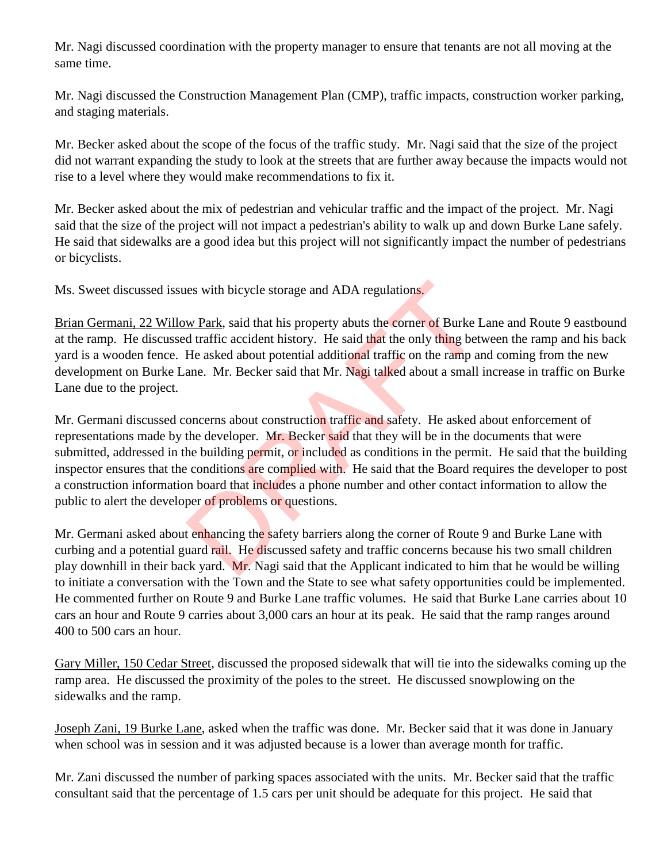Mr. Nagi discussed coordination with the property manager to ensure that tenants are not all moving at the same time.

Mr. Nagi discussed the Construction Management Plan (CMP), traffic impacts, construction worker parking, and staging materials.

Mr. Becker asked about the scope of the focus of the traffic study. Mr. Nagi said that the size of the project did not warrant expanding the study to look at the streets that are further away because the impacts would not rise to a level where they would make recommendations to fix it.

Mr. Becker asked about the mix of pedestrian and vehicular traffic and the impact of the project. Mr. Nagi said that the size of the project will not impact a pedestrian's ability to walk up and down Burke Lane safely. He said that sidewalks are a good idea but this project will not significantly impact the number of pedestrians or bicyclists.

Ms. Sweet discussed issues with bicycle storage and ADA regulations.

Brian Germani, 22 Willow Park, said that his property abuts the corner of Burke Lane and Route 9 eastbound at the ramp. He discussed traffic accident history. He said that the only thing between the ramp and his back yard is a wooden fence. He asked about potential additional traffic on the ramp and coming from the new development on Burke Lane. Mr. Becker said that Mr. Nagi talked about a small increase in traffic on Burke Lane due to the project.

Mr. Germani discussed concerns about construction traffic and safety. He asked about enforcement of representations made by the developer. Mr. Becker said that they will be in the documents that were submitted, addressed in the building permit, or included as conditions in the permit. He said that the building inspector ensures that the conditions are complied with. He said that the Board requires the developer to post a construction information board that includes a phone number and other contact information to allow the public to alert the developer of problems or questions. ies with bicycle storage and ADA regulations.<br>
We Park, said that his property abuts the corner of Burke I<br>
d traffic accident history. He said that the only thing bet<br>
He asked about potential additional traffic on the ra

Mr. Germani asked about enhancing the safety barriers along the corner of Route 9 and Burke Lane with curbing and a potential guard rail. He discussed safety and traffic concerns because his two small children play downhill in their back yard. Mr. Nagi said that the Applicant indicated to him that he would be willing to initiate a conversation with the Town and the State to see what safety opportunities could be implemented. He commented further on Route 9 and Burke Lane traffic volumes. He said that Burke Lane carries about 10 cars an hour and Route 9 carries about 3,000 cars an hour at its peak. He said that the ramp ranges around 400 to 500 cars an hour.

Gary Miller, 150 Cedar Street, discussed the proposed sidewalk that will tie into the sidewalks coming up the ramp area. He discussed the proximity of the poles to the street. He discussed snowplowing on the sidewalks and the ramp.

Joseph Zani, 19 Burke Lane, asked when the traffic was done. Mr. Becker said that it was done in January when school was in session and it was adjusted because is a lower than average month for traffic.

Mr. Zani discussed the number of parking spaces associated with the units. Mr. Becker said that the traffic consultant said that the percentage of 1.5 cars per unit should be adequate for this project. He said that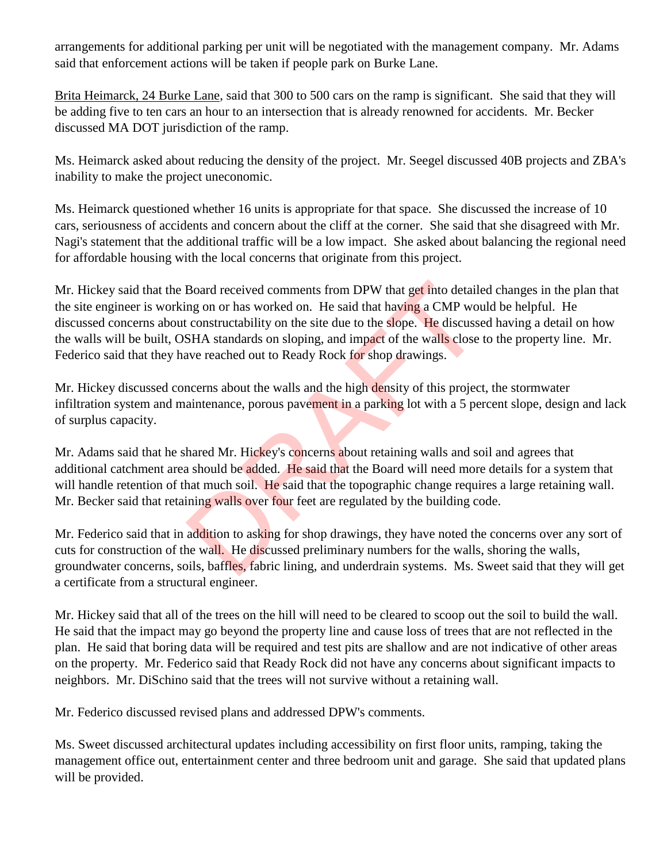arrangements for additional parking per unit will be negotiated with the management company. Mr. Adams said that enforcement actions will be taken if people park on Burke Lane.

Brita Heimarck, 24 Burke Lane, said that 300 to 500 cars on the ramp is significant. She said that they will be adding five to ten cars an hour to an intersection that is already renowned for accidents. Mr. Becker discussed MA DOT jurisdiction of the ramp.

Ms. Heimarck asked about reducing the density of the project. Mr. Seegel discussed 40B projects and ZBA's inability to make the project uneconomic.

Ms. Heimarck questioned whether 16 units is appropriate for that space. She discussed the increase of 10 cars, seriousness of accidents and concern about the cliff at the corner. She said that she disagreed with Mr. Nagi's statement that the additional traffic will be a low impact. She asked about balancing the regional need for affordable housing with the local concerns that originate from this project.

Mr. Hickey said that the Board received comments from DPW that get into detailed changes in the plan that the site engineer is working on or has worked on. He said that having a CMP would be helpful. He discussed concerns about constructability on the site due to the slope. He discussed having a detail on how the walls will be built, OSHA standards on sloping, and impact of the walls close to the property line. Mr. Federico said that they have reached out to Ready Rock for shop drawings. Board received comments from DPW that get into detaile<br>ng on or has worked on. He said that having a CMP wou<br>constructability on the site due to the slope. He discusse<br>SHA standards on sloping, and impact of the walls clos

Mr. Hickey discussed concerns about the walls and the high density of this project, the stormwater infiltration system and maintenance, porous pavement in a parking lot with a 5 percent slope, design and lack of surplus capacity.

Mr. Adams said that he shared Mr. Hickey's concerns about retaining walls and soil and agrees that additional catchment area should be added. He said that the Board will need more details for a system that will handle retention of that much soil. He said that the topographic change requires a large retaining wall. Mr. Becker said that retaining walls over four feet are regulated by the building code.

Mr. Federico said that in addition to asking for shop drawings, they have noted the concerns over any sort of cuts for construction of the wall. He discussed preliminary numbers for the walls, shoring the walls, groundwater concerns, soils, baffles, fabric lining, and underdrain systems. Ms. Sweet said that they will get a certificate from a structural engineer.

Mr. Hickey said that all of the trees on the hill will need to be cleared to scoop out the soil to build the wall. He said that the impact may go beyond the property line and cause loss of trees that are not reflected in the plan. He said that boring data will be required and test pits are shallow and are not indicative of other areas on the property. Mr. Federico said that Ready Rock did not have any concerns about significant impacts to neighbors. Mr. DiSchino said that the trees will not survive without a retaining wall.

Mr. Federico discussed revised plans and addressed DPW's comments.

Ms. Sweet discussed architectural updates including accessibility on first floor units, ramping, taking the management office out, entertainment center and three bedroom unit and garage. She said that updated plans will be provided.